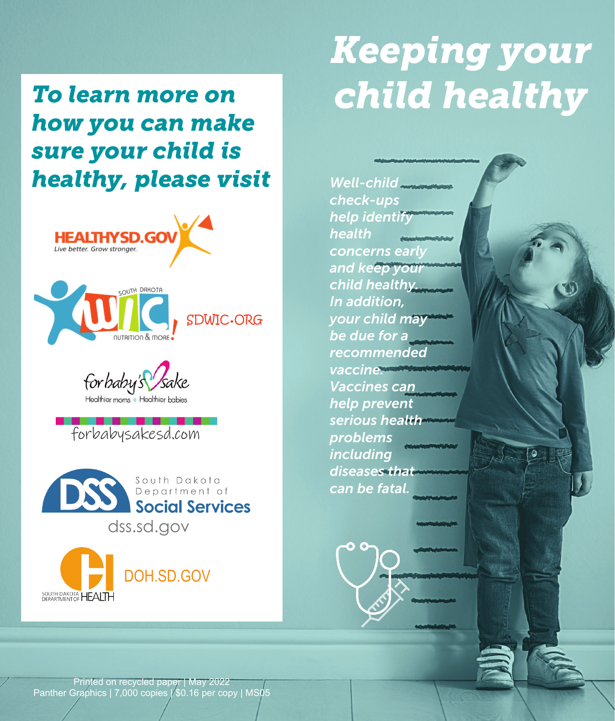*To learn more on how you can make sure your child is*  **healthy, please visit** Well-child







forbabysakesd.com



SOUTH DAKOTA HEALTH



*check-ups help identify health concerns early and keep your child healthy. In addition, your child may be due for a recommended vaccine. Vaccines can help prevent serious health problems including diseases that can be fatal.*

Printed on recycled paper | May 2022 Panther Graphics | 7,000 copies | \$0.16 per copy | MS05